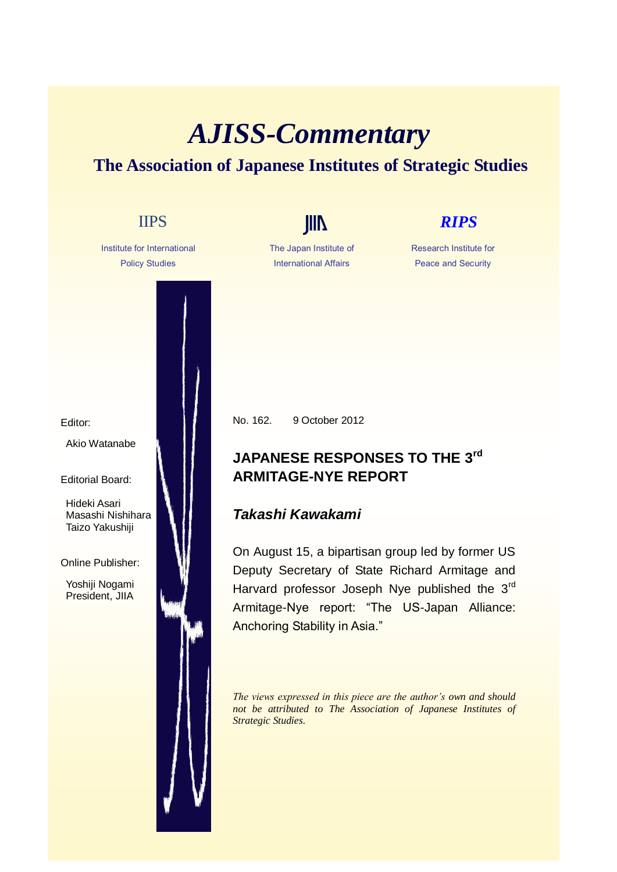## *AJISS-Commentary*  **The Association of Japanese Institutes of Strategic Studies**

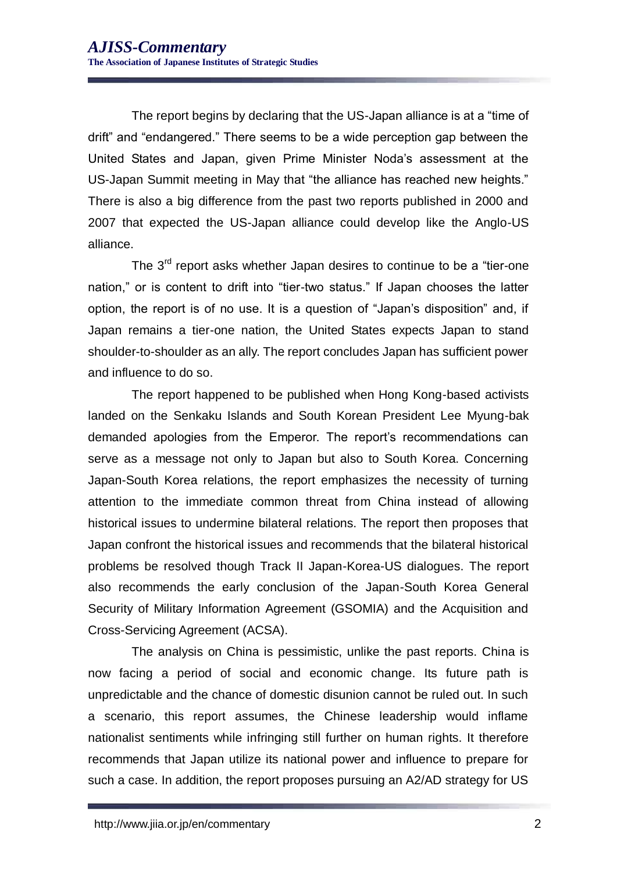The report begins by declaring that the US-Japan alliance is at a "time of drift" and "endangered." There seems to be a wide perception gap between the United States and Japan, given Prime Minister Noda's assessment at the US-Japan Summit meeting in May that "the alliance has reached new heights." There is also a big difference from the past two reports published in 2000 and 2007 that expected the US-Japan alliance could develop like the Anglo-US alliance.

The 3<sup>rd</sup> report asks whether Japan desires to continue to be a "tier-one" nation," or is content to drift into "tier-two status." If Japan chooses the latter option, the report is of no use. It is a question of "Japan's disposition" and, if Japan remains a tier-one nation, the United States expects Japan to stand shoulder-to-shoulder as an ally. The report concludes Japan has sufficient power and influence to do so.

The report happened to be published when Hong Kong-based activists landed on the Senkaku Islands and South Korean President Lee Myung-bak demanded apologies from the Emperor. The report's recommendations can serve as a message not only to Japan but also to South Korea. Concerning Japan-South Korea relations, the report emphasizes the necessity of turning attention to the immediate common threat from China instead of allowing historical issues to undermine bilateral relations. The report then proposes that Japan confront the historical issues and recommends that the bilateral historical problems be resolved though Track II Japan-Korea-US dialogues. The report also recommends the early conclusion of the Japan-South Korea General Security of Military Information Agreement (GSOMIA) and the Acquisition and Cross-Servicing Agreement (ACSA).

The analysis on China is pessimistic, unlike the past reports. China is now facing a period of social and economic change. Its future path is unpredictable and the chance of domestic disunion cannot be ruled out. In such a scenario, this report assumes, the Chinese leadership would inflame nationalist sentiments while infringing still further on human rights. It therefore recommends that Japan utilize its national power and influence to prepare for such a case. In addition, the report proposes pursuing an A2/AD strategy for US